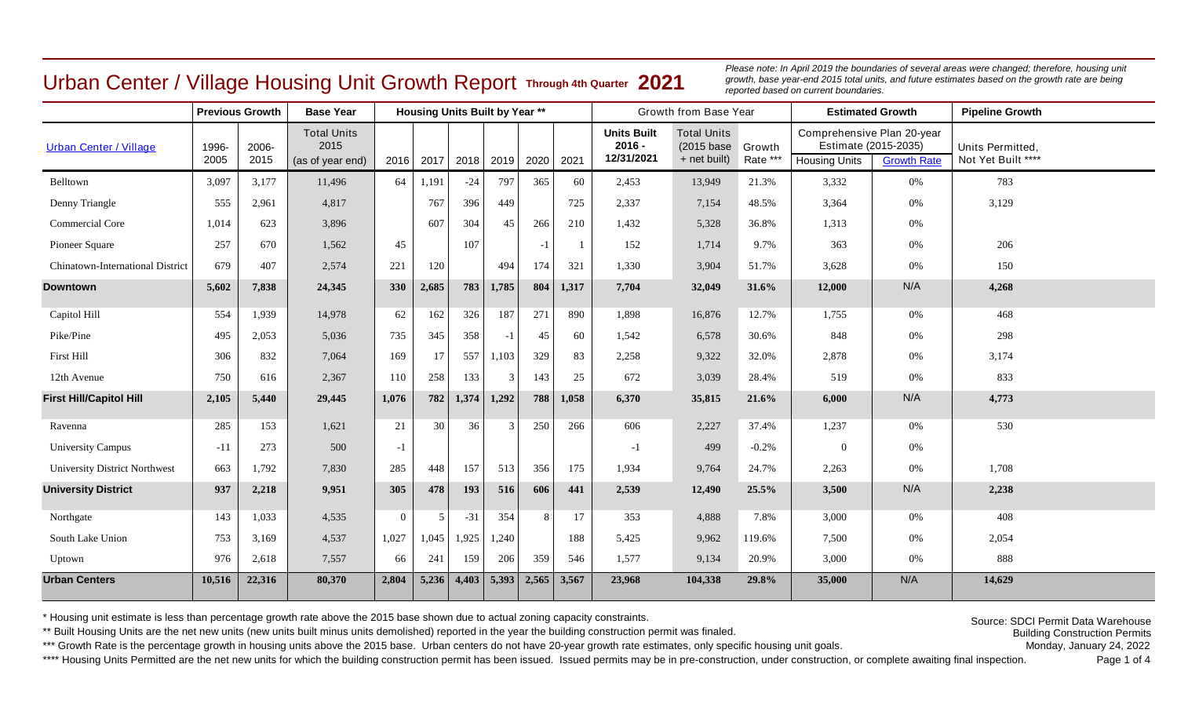## Urban Center / Village Housing Unit Growth Report **Through 4th Quarter 2021**

Please note: In April 2019 the boundaries of several areas were changed; therefore, housing unit *growth, base year-end 2015 total units, and future estimates based on the growth rate are being reported based on current boundaries.*

|                                      | <b>Previous Growth</b> |               |                                                |                |       | <b>Housing Units Built by Year **</b> |               |       |       |                                              | Growth from Base Year                             |                    |                                                    | <b>Estimated Growth</b>                    | <b>Pipeline Growth</b>                 |  |
|--------------------------------------|------------------------|---------------|------------------------------------------------|----------------|-------|---------------------------------------|---------------|-------|-------|----------------------------------------------|---------------------------------------------------|--------------------|----------------------------------------------------|--------------------------------------------|----------------------------------------|--|
| <b>Urban Center / Village</b>        | 1996-<br>2005          | 2006-<br>2015 | <b>Total Units</b><br>2015<br>(as of year end) | 2016           | 2017  | 2018                                  | 2019          | 2020  | 2021  | <b>Units Built</b><br>$2016 -$<br>12/31/2021 | <b>Total Units</b><br>(2015 base)<br>+ net built) | Growth<br>Rate *** | Comprehensive Plan 20-year<br><b>Housing Units</b> | Estimate (2015-2035)<br><b>Growth Rate</b> | Units Permitted,<br>Not Yet Built **** |  |
| Belltown                             | 3,097                  | 3,177         | 11,496                                         | 64             | 1,191 | $-24$                                 | 797           | 365   | 60    | 2,453                                        | 13,949                                            | 21.3%              | 3,332                                              | 0%                                         | 783                                    |  |
| Denny Triangle                       | 555                    | 2,961         | 4,817                                          |                | 767   | 396                                   | 449           |       | 725   | 2,337                                        | 7,154                                             | 48.5%              | 3,364                                              | 0%                                         | 3,129                                  |  |
| <b>Commercial Core</b>               | 1,014                  | 623           | 3,896                                          |                | 607   | 304                                   | 45            | 266   | 210   | 1,432                                        | 5,328                                             | 36.8%              | 1,313                                              | 0%                                         |                                        |  |
| Pioneer Square                       | 257                    | 670           | 1,562                                          | 45             |       | 107                                   |               | $-1$  | 1     | 152                                          | 1,714                                             | 9.7%               | 363                                                | 0%                                         | 206                                    |  |
| Chinatown-International District     | 679                    | 407           | 2,574                                          | 221            | 120   |                                       | 494           | 174   | 321   | 1,330                                        | 3,904                                             | 51.7%              | 3,628                                              | 0%                                         | 150                                    |  |
| <b>Downtown</b>                      | 5,602                  | 7,838         | 24,345                                         | 330            | 2,685 | 783                                   | 1,785         | 804   | 1,317 | 7,704                                        | 32,049                                            | 31.6%              | 12,000                                             | N/A                                        | 4,268                                  |  |
| Capitol Hill                         | 554                    | 1,939         | 14,978                                         | 62             | 162   | 326                                   | 187           | 271   | 890   | 1,898                                        | 16,876                                            | 12.7%              | 1,755                                              | 0%                                         | 468                                    |  |
| Pike/Pine                            | 495                    | 2,053         | 5,036                                          | 735            | 345   | 358                                   | $-1$          | 45    | 60    | 1,542                                        | 6,578                                             | 30.6%              | 848                                                | 0%                                         | 298                                    |  |
| First Hill                           | 306                    | 832           | 7,064                                          | 169            | 17    | 557                                   | 1,103         | 329   | 83    | 2,258                                        | 9,322                                             | 32.0%              | 2,878                                              | 0%                                         | 3,174                                  |  |
| 12th Avenue                          | 750                    | 616           | 2,367                                          | 110            | 258   | 133                                   | 3             | 143   | 25    | 672                                          | 3,039                                             | 28.4%              | 519                                                | 0%                                         | 833                                    |  |
| <b>First Hill/Capitol Hill</b>       | 2,105                  | 5,440         | 29,445                                         | 1,076          | 782   | 1,374                                 | 1,292         | 788   | 1,058 | 6,370                                        | 35,815                                            | 21.6%              | 6,000                                              | N/A                                        | 4,773                                  |  |
| Ravenna                              | 285                    | 153           | 1,621                                          | 21             | 30    | 36                                    | $\mathcal{R}$ | 250   | 266   | 606                                          | 2,227                                             | 37.4%              | 1,237                                              | 0%                                         | 530                                    |  |
| <b>University Campus</b>             | $-11$                  | 273           | 500                                            | $-1$           |       |                                       |               |       |       | $-1$                                         | 499                                               | $-0.2%$            | $\overline{0}$                                     | 0%                                         |                                        |  |
| <b>University District Northwest</b> | 663                    | 1,792         | 7,830                                          | 285            | 448   | 157                                   | 513           | 356   | 175   | 1,934                                        | 9,764                                             | 24.7%              | 2,263                                              | 0%                                         | 1,708                                  |  |
| <b>University District</b>           | 937                    | 2,218         | 9,951                                          | 305            | 478   | 193                                   | 516           | 606   | 441   | 2,539                                        | 12,490                                            | 25.5%              | 3,500                                              | N/A                                        | 2,238                                  |  |
| Northgate                            | 143                    | 1,033         | 4,535                                          | $\overline{0}$ | 5     | $-31$                                 | 354           | 8     | 17    | 353                                          | 4,888                                             | 7.8%               | 3,000                                              | 0%                                         | 408                                    |  |
| South Lake Union                     | 753                    | 3,169         | 4,537                                          | 1,027          | 1,045 | 1,925                                 | 1,240         |       | 188   | 5,425                                        | 9,962                                             | 119.6%             | 7,500                                              | 0%                                         | 2,054                                  |  |
| Uptown                               | 976                    | 2,618         | 7,557                                          | 66             | 241   | 159                                   | 206           | 359   | 546   | 1,577                                        | 9,134                                             | 20.9%              | 3,000                                              | 0%                                         | 888                                    |  |
| <b>Urban Centers</b>                 | 10,516                 | 22,316        | 80,370                                         | 2,804          | 5,236 | 4,403                                 | 5,393         | 2,565 | 3,567 | 23,968                                       | 104,338                                           | 29.8%              | 35,000                                             | N/A                                        | 14,629                                 |  |

\* Housing unit estimate is less than percentage growth rate above the 2015 base shown due to actual zoning capacity constraints.

\*\* Built Housing Units are the net new units (new units built minus units demolished) reported in the year the building construction permit was finaled.

\*\*\* Growth Rate is the percentage growth in housing units above the 2015 base. Urban centers do not have 20-year growth rate estimates, only specific housing unit goals.

\*\*\*\* Housing Units Permitted are the net new units for which the building construction permit has been issued. Issued permits may be in pre-construction, under construction, or complete awaiting final inspection.

Monday, January 24, 2022 Source: SDCI Permit Data Warehouse Building Construction Permits

Page 1 of 4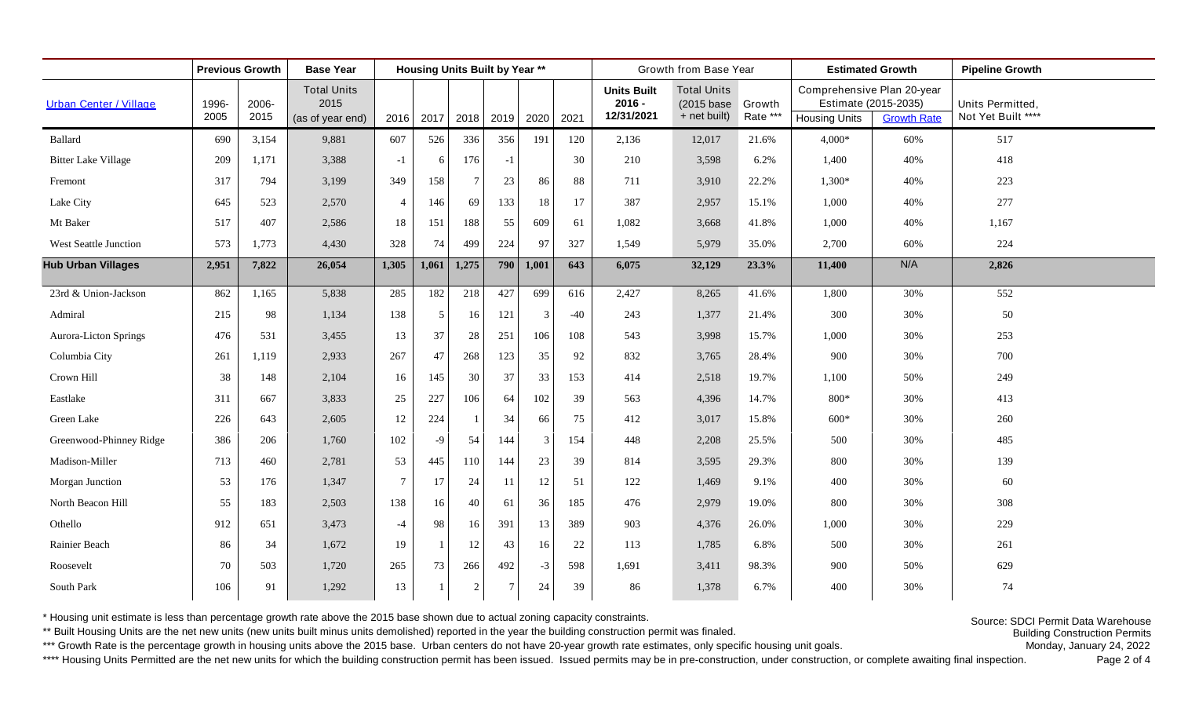|                               | <b>Previous Growth</b> |       | <b>Base Year</b>           |                 | <b>Housing Units Built by Year **</b> |                |           |       |        |                                | Growth from Base Year            |          |                                                    | <b>Estimated Growth</b> | <b>Pipeline Growth</b> |
|-------------------------------|------------------------|-------|----------------------------|-----------------|---------------------------------------|----------------|-----------|-------|--------|--------------------------------|----------------------------------|----------|----------------------------------------------------|-------------------------|------------------------|
| <b>Urban Center / Village</b> | 1996-                  | 2006- | <b>Total Units</b><br>2015 |                 |                                       |                |           |       |        | <b>Units Built</b><br>$2016 -$ | <b>Total Units</b><br>(2015 base | Growth   | Comprehensive Plan 20-year<br>Estimate (2015-2035) |                         | Units Permitted,       |
|                               | 2005                   | 2015  | (as of year end)           | 2016            | 2017                                  |                | 2018 2019 | 2020  | 2021   | 12/31/2021                     | + net built)                     | Rate *** | <b>Housing Units</b>                               | <b>Growth Rate</b>      | Not Yet Built ****     |
| Ballard                       | 690                    | 3,154 | 9,881                      | 607             | 526                                   | 336            | 356       | 191   | 120    | 2,136                          | 12,017                           | 21.6%    | $4,000*$                                           | 60%                     | 517                    |
| <b>Bitter Lake Village</b>    | 209                    | 1,171 | 3,388                      | $-1$            | 6                                     | 176            | $-1$      |       | 30     | 210                            | 3,598                            | 6.2%     | 1,400                                              | 40%                     | 418                    |
| Fremont                       | 317                    | 794   | 3,199                      | 349             | 158                                   | $\overline{7}$ | 23        | 86    | $88\,$ | 711                            | 3,910                            | 22.2%    | 1,300*                                             | 40%                     | 223                    |
| Lake City                     | 645                    | 523   | 2,570                      | $\overline{4}$  | 146                                   | 69             | 133       | 18    | 17     | 387                            | 2,957                            | 15.1%    | 1,000                                              | 40%                     | 277                    |
| Mt Baker                      | 517                    | 407   | 2,586                      | 18              | 151                                   | 188            | 55        | 609   | 61     | 1,082                          | 3,668                            | 41.8%    | 1,000                                              | 40%                     | 1,167                  |
| West Seattle Junction         | 573                    | 1,773 | 4,430                      | 328             | 74                                    | 499            | 224       | 97    | 327    | 1,549                          | 5,979                            | 35.0%    | 2,700                                              | 60%                     | 224                    |
| <b>Hub Urban Villages</b>     | 2,951                  | 7,822 | 26,054                     | 1,305           | 1,061                                 | 1,275          | 790       | 1,001 | 643    | 6,075                          | 32,129                           | 23.3%    | 11,400                                             | N/A                     | 2,826                  |
| 23rd & Union-Jackson          | 862                    | 1,165 | 5,838                      | 285             | 182                                   | 218            | 427       | 699   | 616    | 2,427                          | 8,265                            | 41.6%    | 1,800                                              | 30%                     | 552                    |
| Admiral                       | 215                    | 98    | 1,134                      | 138             | 5                                     | 16             | 121       | 3     | $-40$  | 243                            | 1,377                            | 21.4%    | 300                                                | 30%                     | 50                     |
| Aurora-Licton Springs         | 476                    | 531   | 3,455                      | 13              | 37                                    | 28             | 251       | 106   | 108    | 543                            | 3,998                            | 15.7%    | 1,000                                              | 30%                     | 253                    |
| Columbia City                 | 261                    | 1,119 | 2,933                      | 267             | 47                                    | 268            | 123       | 35    | 92     | 832                            | 3,765                            | 28.4%    | 900                                                | 30%                     | 700                    |
| Crown Hill                    | 38                     | 148   | 2,104                      | 16              | 145                                   | 30             | 37        | 33    | 153    | 414                            | 2,518                            | 19.7%    | 1,100                                              | 50%                     | 249                    |
| Eastlake                      | 311                    | 667   | 3,833                      | $25\,$          | 227                                   | 106            | 64        | 102   | 39     | 563                            | 4,396                            | 14.7%    | $800*$                                             | 30%                     | 413                    |
| Green Lake                    | 226                    | 643   | 2,605                      | 12              | 224                                   |                | 34        | 66    | 75     | 412                            | 3,017                            | 15.8%    | $600*$                                             | 30%                     | 260                    |
| Greenwood-Phinney Ridge       | 386                    | 206   | 1,760                      | 102             | $-9$                                  | 54             | 144       | 3     | 154    | 448                            | 2,208                            | 25.5%    | 500                                                | 30%                     | 485                    |
| Madison-Miller                | 713                    | 460   | 2,781                      | 53              | 445                                   | 110            | 144       | 23    | 39     | 814                            | 3,595                            | 29.3%    | 800                                                | 30%                     | 139                    |
| Morgan Junction               | 53                     | 176   | 1,347                      | $7\phantom{.0}$ | 17                                    | 24             | 11        | 12    | 51     | 122                            | 1,469                            | 9.1%     | 400                                                | 30%                     | 60                     |
| North Beacon Hill             | 55                     | 183   | 2,503                      | 138             | 16                                    | 40             | 61        | 36    | 185    | 476                            | 2,979                            | 19.0%    | 800                                                | 30%                     | 308                    |
| Othello                       | 912                    | 651   | 3,473                      | $-4$            | 98                                    | 16             | 391       | 13    | 389    | 903                            | 4,376                            | 26.0%    | 1,000                                              | 30%                     | 229                    |
| Rainier Beach                 | 86                     | 34    | 1,672                      | 19              |                                       | 12             | 43        | 16    | 22     | 113                            | 1,785                            | 6.8%     | 500                                                | 30%                     | 261                    |
| Roosevelt                     | 70                     | 503   | 1,720                      | 265             | 73                                    | 266            | 492       | $-3$  | 598    | 1,691                          | 3,411                            | 98.3%    | 900                                                | 50%                     | 629                    |
| South Park                    | 106                    | 91    | 1,292                      | 13              |                                       | 2              | $\tau$    | 24    | 39     | 86                             | 1,378                            | 6.7%     | 400                                                | 30%                     | 74                     |

\* Housing unit estimate is less than percentage growth rate above the 2015 base shown due to actual zoning capacity constraints.

\*\* Built Housing Units are the net new units (new units built minus units demolished) reported in the year the building construction permit was finaled.

\*\*\* Growth Rate is the percentage growth in housing units above the 2015 base. Urban centers do not have 20-year growth rate estimates, only specific housing unit goals.

\*\*\*\* Housing Units Permitted are the net new units for which the building construction permit has been issued. Issued permits may be in pre-construction, under construction, or complete awaiting final inspection.

Monday, January 24, 2022 Source: SDCI Permit Data Warehouse Building Construction Permits

Page 2 of 4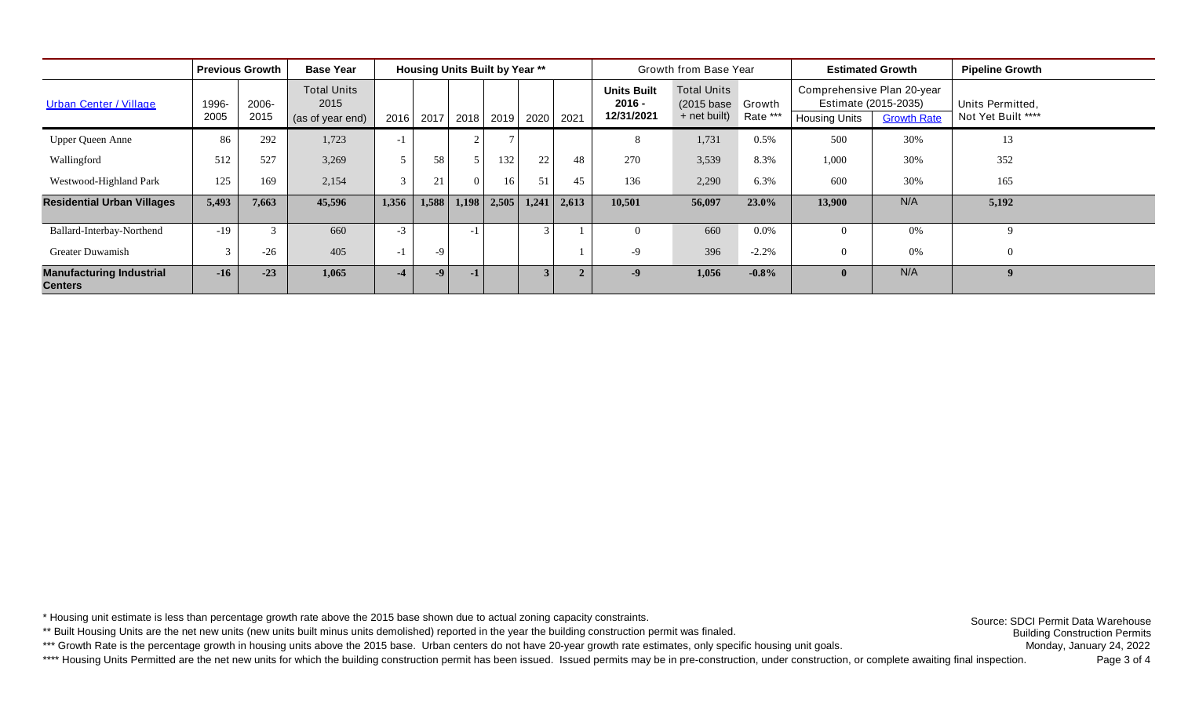|                                                   | <b>Previous Growth</b> | <b>Base Year</b> |                                                |       |       | <b>Housing Units Built by Year **</b> |       |                |                | Growth from Base Year                        |                                                         |          | <b>Estimated Growth</b>                            | <b>Pipeline Growth</b>                     |                                        |  |
|---------------------------------------------------|------------------------|------------------|------------------------------------------------|-------|-------|---------------------------------------|-------|----------------|----------------|----------------------------------------------|---------------------------------------------------------|----------|----------------------------------------------------|--------------------------------------------|----------------------------------------|--|
| <b>Urban Center / Village</b>                     | 1996-<br>2005          | 2006-<br>2015    | <b>Total Units</b><br>2015<br>(as of year end) | 2016  | 2017  | 2018                                  | 2019  | 2020           | 2021           | <b>Units Built</b><br>$2016 -$<br>12/31/2021 | <b>Total Units</b><br>(2015 base Growth<br>+ net built) | Rate *** | Comprehensive Plan 20-year<br><b>Housing Units</b> | Estimate (2015-2035)<br><b>Growth Rate</b> | Units Permitted,<br>Not Yet Built **** |  |
| <b>Upper Queen Anne</b>                           | 86                     | 292              | 1,723                                          | $-1$  |       |                                       |       |                |                | 8                                            | 1,731                                                   | 0.5%     | 500                                                | 30%                                        | 13                                     |  |
| Wallingford                                       | 512                    | 527              | 3,269                                          | 5     | 58    |                                       | 132   | 22             | 48             | 270                                          | 3,539                                                   | 8.3%     | 1,000                                              | 30%                                        | 352                                    |  |
| Westwood-Highland Park                            | 125                    | 169              | 2,154                                          | 3     | 21    |                                       | 16    | 51             | 45             | 136                                          | 2,290                                                   | 6.3%     | 600                                                | 30%                                        | 165                                    |  |
| <b>Residential Urban Villages</b>                 | 5,493                  | 7,663            | 45,596                                         | 1,356 | 1,588 | 1,198                                 | 2,505 | 1,241          | 2,613          | 10,501                                       | 56,097                                                  | 23.0%    | 13,900                                             | N/A                                        | 5,192                                  |  |
| Ballard-Interbay-Northend                         | $-19$                  | $\mathcal{R}$    | 660                                            | $-3$  |       | -1                                    |       | $\mathcal{F}$  |                | $\Omega$                                     | 660                                                     | $0.0\%$  |                                                    | 0%                                         | $\Omega$                               |  |
| Greater Duwamish                                  | 3                      | $-26$            | 405                                            | $-1$  | $-9$  |                                       |       |                |                | $-9$                                         | 396                                                     | $-2.2%$  |                                                    | 0%                                         |                                        |  |
| <b>Manufacturing Industrial</b><br><b>Centers</b> | $-16$                  | $-23$            | 1,065                                          | $-4$  | $-9$  | $-1$                                  |       | 3 <sup>1</sup> | $\overline{2}$ | $-9$                                         | 1,056                                                   | $-0.8\%$ |                                                    | N/A                                        | $\boldsymbol{q}$                       |  |

\* Housing unit estimate is less than percentage growth rate above the 2015 base shown due to actual zoning capacity constraints.

\*\* Built Housing Units are the net new units (new units built minus units demolished) reported in the year the building construction permit was finaled.

\*\*\* Growth Rate is the percentage growth in housing units above the 2015 base. Urban centers do not have 20-year growth rate estimates, only specific housing unit goals.

\*\*\*\* Housing Units Permitted are the net new units for which the building construction permit has been issued. Issued permits may be in pre-construction, under construction, or complete awaiting final inspection.